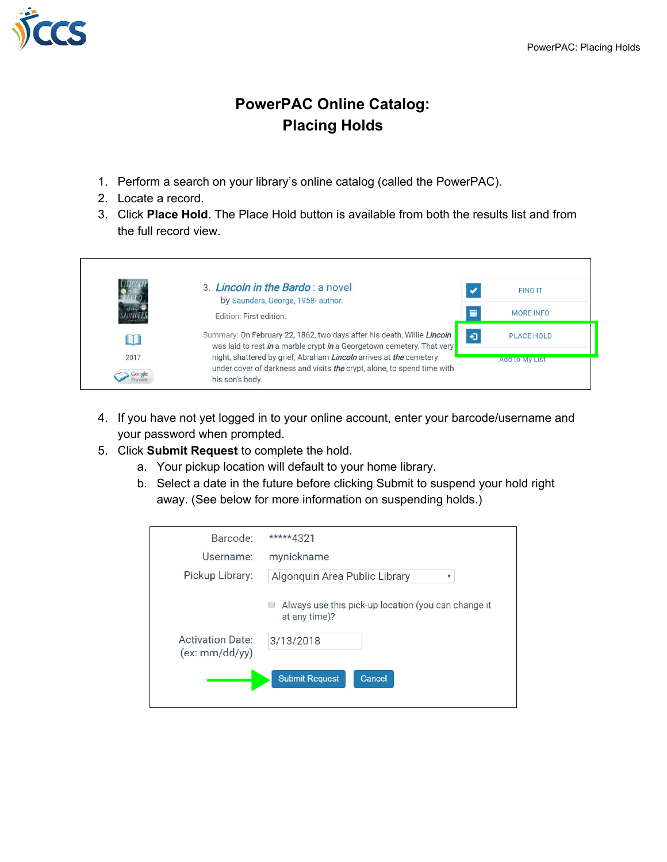

## **PowerPAC Online Catalog: Placing Holds**

- 1. Perform a search on your library's online catalog (called the PowerPAC).
- 2. Locate a record.
- 3. Click **Place Hold**. The Place Hold button is available from both the results list and from the full record view.



- 4. If you have not yet logged in to your online account, enter your barcode/username and your password when prompted.
- 5. Click **Submit Request** to complete the hold.
	- a. Your pickup location will default to your home library.
	- b. Select a date in the future before clicking Submit to suspend your hold right away. (See below for more information on suspending holds.)

| Barcode:                                 | *****4321                                                                 |
|------------------------------------------|---------------------------------------------------------------------------|
| Username:                                | mynickname                                                                |
| Pickup Library:                          | Algonquin Area Public Library                                             |
|                                          | Always use this pick-up location (you can change it<br>Œ<br>at any time)? |
| <b>Activation Date:</b><br>(ex:mm/dd/yy) | 3/13/2018                                                                 |
|                                          | <b>Submit Request</b><br>Cancel                                           |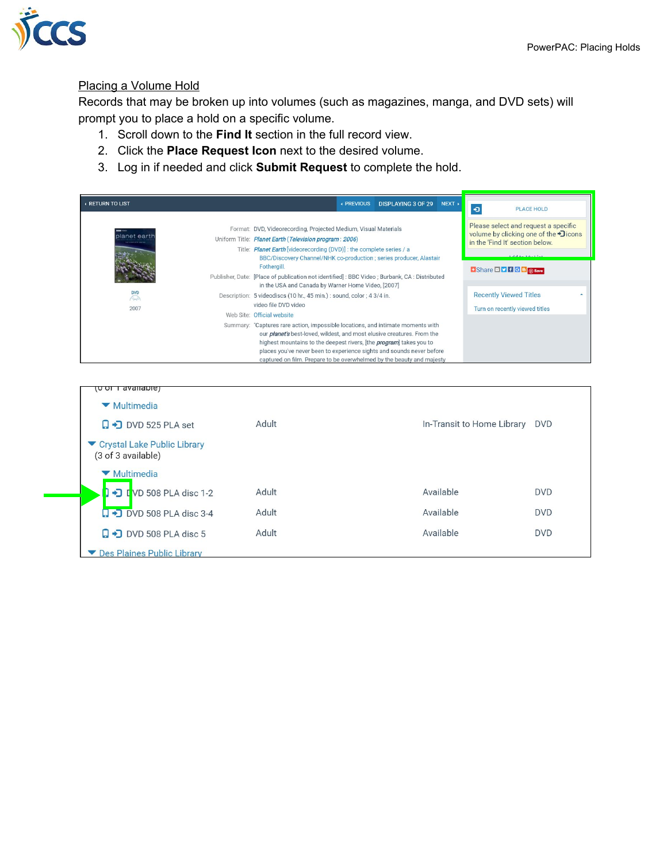

## Placing a Volume Hold

Records that may be broken up into volumes (such as magazines, manga, and DVD sets) will prompt you to place a hold on a specific volume.

- 1. Scroll down to the **Find It** section in the full record view.
- 2. Click the **Place Request Icon** next to the desired volume.
- 3. Log in if needed and click **Submit Request** to complete the hold.

| <b>A RETURN TO LIST</b>           |                                                                                                                                                                                                                                                                                                                                                                                                   | ← PREVIOUS | <b>DISPLAYING 3 OF 29</b> | NEXT + | $\bullet$<br><b>PLACE HOLD</b>                                                                                                    |
|-----------------------------------|---------------------------------------------------------------------------------------------------------------------------------------------------------------------------------------------------------------------------------------------------------------------------------------------------------------------------------------------------------------------------------------------------|------------|---------------------------|--------|-----------------------------------------------------------------------------------------------------------------------------------|
| planet eart<br><b>CONTRACTOR</b>  | Format: DVD, Videorecording, Projected Medium, Visual Materials<br>Uniform Title: Planet Earth (Television program: 2006)<br>Title: Planet Earth [videorecording (DVD)] : the complete series / a<br>BBC/Discovery Channel/NHK co-production ; series producer, Alastair                                                                                                                          |            |                           |        | Please select and request a specific<br>volume by clicking one of the •Dicons<br>in the 'Find It' section below.<br>Add to Mullet |
|                                   | Fothergill.<br>Publisher, Date: [Place of publication not identified]: BBC Video; Burbank, CA: Distributed<br>in the USA and Canada by Warner Home Video, [2007]                                                                                                                                                                                                                                  |            |                           |        | $\rightarrow$ Share $\square$ $\square$ $\uparrow$ $\uparrow$ $\lhd$ $\lhd$ $\lhd$ $\lhd$ $\lhd$ $\lhd$ save                      |
| <b>DVD</b><br>$\bigwedge$<br>2007 | Description: 5 videodiscs (10 hr., 45 min.): sound, color; 4 3/4 in.<br>video file DVD video<br>Web Site: Official website                                                                                                                                                                                                                                                                        |            |                           |        | <b>Recently Viewed Titles</b><br>Turn on recently viewed titles                                                                   |
|                                   | Summary: "Captures rare action, impossible locations, and intimate moments with<br>our <i>planet's</i> best-loved, wildest, and most elusive creatures. From the<br>highest mountains to the deepest rivers, [the <i>program</i> ] takes you to<br>places you've never been to experience sights and sounds never before<br>captured on film. Prepare to be overwhelmed by the beauty and majesty |            |                           |        |                                                                                                                                   |

| o or Tavallable)                                  |       |                            |            |
|---------------------------------------------------|-------|----------------------------|------------|
| ▼ Multimedia                                      |       |                            |            |
| $\Box$ DVD 525 PLA set                            | Adult | In-Transit to Home Library | <b>DVD</b> |
| Crystal Lake Public Library<br>(3 of 3 available) |       |                            |            |
| ▼ Multimedia                                      |       |                            |            |
| $\rightarrow$ TVD 508 PLA disc 1-2                | Adult | Available                  | <b>DVD</b> |
| $\Box$ $\rightarrow$ DVD 508 PLA disc 3-4         | Adult | Available                  | <b>DVD</b> |
| $\Box$ DVD 508 PLA disc 5                         | Adult | Available                  | <b>DVD</b> |
| Des Plaines Public Library                        |       |                            |            |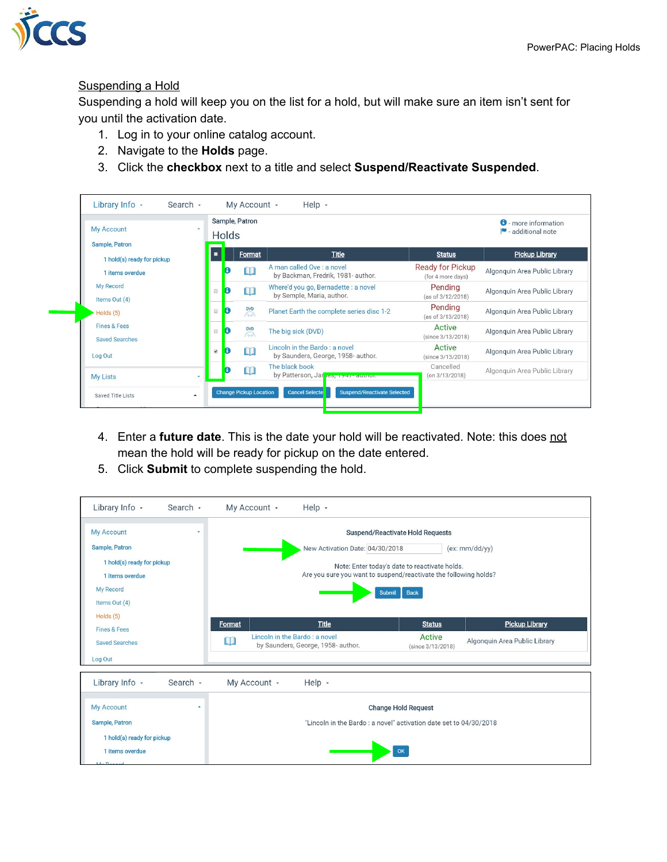

## Suspending a Hold

Suspending a hold will keep you on the list for a hold, but will make sure an item isn't sent for you until the activation date.

- 1. Log in to your online catalog account.
- 2. Navigate to the **Holds** page.
- 3. Click the **checkbox** next to a title and select **Suspend/Reactivate Suspended**.

| <b>My Account</b><br><b>Sample, Patron</b>       | <b>Holds</b>                                                                 | Sample, Patron          | <b>0</b> - more information<br>additional note                       |                                              |                               |
|--------------------------------------------------|------------------------------------------------------------------------------|-------------------------|----------------------------------------------------------------------|----------------------------------------------|-------------------------------|
| 1 hold(s) ready for pickup                       |                                                                              | Format                  | <b>Title</b>                                                         | <b>Status</b>                                | <b>Pickup Library</b>         |
| 1 items overdue                                  | A                                                                            | M                       | A man called Ove : a novel<br>by Backman, Fredrik, 1981- author.     | <b>Ready for Pickup</b><br>(for 4 more days) | Algonquin Area Public Library |
| My Record<br>Items Out (4)                       | Đ<br>$\qquad \qquad \Box$                                                    | m                       | Where'd you go, Bernadette : a novel<br>by Semple, Maria, author.    | Pending<br>(as of 3/12/2018)                 | Algonguin Area Public Library |
| Holds (5)                                        | Đ<br>$\qquad \qquad \qquad \qquad \qquad \qquad \qquad \qquad \qquad \qquad$ | $\sqrt{2}$              | Planet Earth the complete series disc 1-2                            | Pending<br>(as of 3/13/2018)                 | Algonquin Area Public Library |
| <b>Fines &amp; Fees</b><br><b>Saved Searches</b> | B<br>$\qquad \qquad \Box$                                                    | $\overline{\mathbb{R}}$ | The big sick (DVD)                                                   | Active<br>(since 3/13/2018)                  | Algonguin Area Public Library |
| Log Out                                          | Đ<br>$\omega$                                                                | $\Box$                  | Lincoln in the Bardo : a novel<br>by Saunders, George, 1958- author. | Active<br>(since 3/13/2018)                  | Algonquin Area Public Library |
| <b>My Lists</b><br>٠                             |                                                                              | $\Box$                  | The black book<br>by Patterson, Jar 100, 1947 author.                | Cancelled<br>$($ on $3/13/2018)$             | Algonquin Area Public Library |

- 4. Enter a **future date**. This is the date your hold will be reactivated. Note: this does not mean the hold will be ready for pickup on the date entered.
- 5. Click **Submit** to complete suspending the hold.